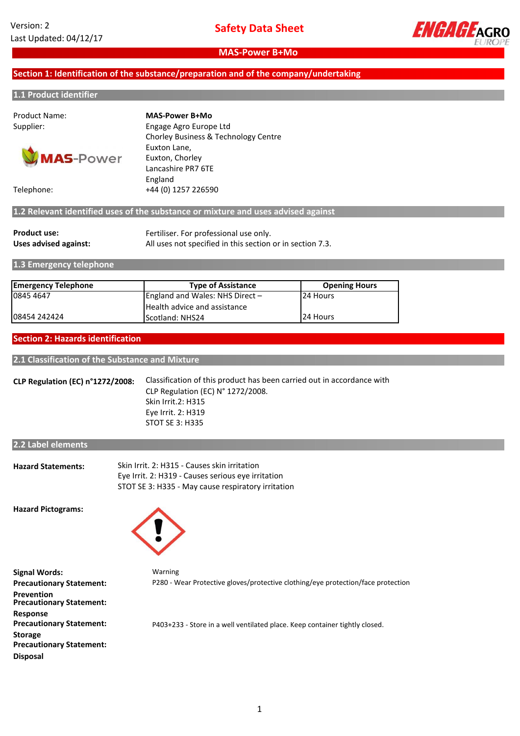

## **Section 1: Identification of the substance/preparation and of the company/undertaking**

#### **1.1 Product identifier**

Product Name:



Supplier: Engage Agro Europe Ltd Chorley Business & Technology Centre Euxton Lane, Euxton, Chorley Lancashire PR7 6TE England Telephone: +44 (0) 1257 226590 **MAS-Power B+Mo**

**1.2 Relevant identified uses of the substance or mixture and uses advised against**

| <b>Product use:</b>   | Fertiliser. For professional use only.                    |
|-----------------------|-----------------------------------------------------------|
| Uses advised against: | All uses not specified in this section or in section 7.3. |

**1.3 Emergency telephone**

| <b>Emergency Telephone</b> | <b>Type of Assistance</b>         | <b>Opening Hours</b> |
|----------------------------|-----------------------------------|----------------------|
| 0845 4647                  | England and Wales: NHS Direct $-$ | 24 Hours             |
|                            | Health advice and assistance      |                      |
| 108454 242424              | Scotland: NHS24                   | <b>24 Hours</b>      |

#### **Section 2: Hazards identification**

**2.1 Classification of the Substance and Mixture**

**CLP Regulation (EC) n°1272/2008:** Eye Irrit. 2: H319 Classification of this product has been carried out in accordance with CLP Regulation (EC) N° 1272/2008. STOT SE 3: H335 Skin Irrit.2: H315

**2.2 Label elements**

| <b>Hazard Statements:</b> | Skin Irrit. 2: H315 - Causes skin irritation       |
|---------------------------|----------------------------------------------------|
|                           | Eye Irrit. 2: H319 - Causes serious eye irritation |
|                           | STOT SE 3: H335 - May cause respiratory irritation |

**Hazard Pictograms:**



**Signal Words: Precautionary Statement: Prevention Precautionary Statement: Response Precautionary Statement: Storage Precautionary Statement: Disposal**

Warning P280 - Wear Protective gloves/protective clothing/eye protection/face protection

P403+233 - Store in a well ventilated place. Keep container tightly closed.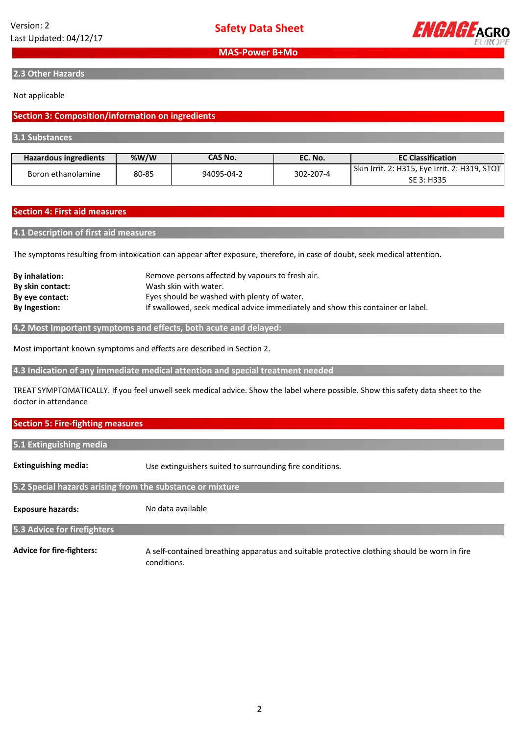

**2.3 Other Hazards**

#### Not applicable

#### **Section 3: Composition/information on ingredients**

**3.1 Substances**

| Hazardous ingredients       | % $W/W$    | <b>CAS No.</b> | EC. No.                                       | <b>EC Classification</b> |
|-----------------------------|------------|----------------|-----------------------------------------------|--------------------------|
| 80-85<br>Boron ethanolamine | 94095-04-2 | 302-207-4      | Skin Irrit. 2: H315, Eye Irrit. 2: H319, STOT |                          |
|                             |            |                |                                               | SE 3: H335               |

#### **Section 4: First aid measures**

#### **4.1 Description of first aid measures**

The symptoms resulting from intoxication can appear after exposure, therefore, in case of doubt, seek medical attention.

| <b>By inhalation:</b> | Remove persons affected by vapours to fresh air.                                |
|-----------------------|---------------------------------------------------------------------------------|
| By skin contact:      | Wash skin with water.                                                           |
| By eye contact:       | Eyes should be washed with plenty of water.                                     |
| <b>By Ingestion:</b>  | If swallowed, seek medical advice immediately and show this container or label. |

**4.2 Most Important symptoms and effects, both acute and delayed:**

Most important known symptoms and effects are described in Section 2.

**4.3 Indication of any immediate medical attention and special treatment needed**

TREAT SYMPTOMATICALLY. If you feel unwell seek medical advice. Show the label where possible. Show this safety data sheet to the doctor in attendance

#### **Section 5: Fire-fighting measures**

| 5.1 Extinguishing media     |                                                          |
|-----------------------------|----------------------------------------------------------|
| <b>Extinguishing media:</b> | Use extinguishers suited to surrounding fire conditions. |

**5.2 Special hazards arising from the substance or mixture**

**Exposure hazards:**

No data available

**5.3 Advice for firefighters**

**Advice for fire-fighters:**

A self-contained breathing apparatus and suitable protective clothing should be worn in fire conditions.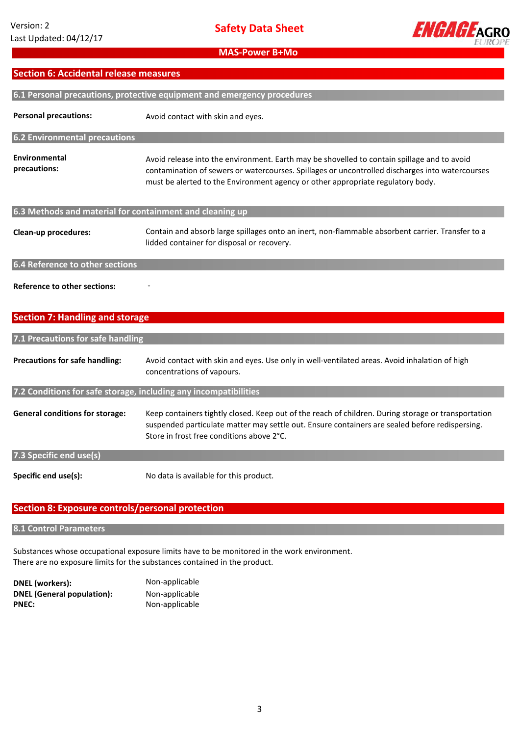

## **Section 6: Accidental release measures**

| 6.1 Personal precautions, protective equipment and emergency procedures |                                                                                                                                                                                                                                                                                   |  |
|-------------------------------------------------------------------------|-----------------------------------------------------------------------------------------------------------------------------------------------------------------------------------------------------------------------------------------------------------------------------------|--|
| <b>Personal precautions:</b>                                            | Avoid contact with skin and eyes.                                                                                                                                                                                                                                                 |  |
| 6.2 Environmental precautions                                           |                                                                                                                                                                                                                                                                                   |  |
| Environmental<br>precautions:                                           | Avoid release into the environment. Earth may be shovelled to contain spillage and to avoid<br>contamination of sewers or watercourses. Spillages or uncontrolled discharges into watercourses<br>must be alerted to the Environment agency or other appropriate regulatory body. |  |
| 6.3 Methods and material for containment and cleaning up                |                                                                                                                                                                                                                                                                                   |  |
| <b>Clean-up procedures:</b>                                             | Contain and absorb large spillages onto an inert, non-flammable absorbent carrier. Transfer to a<br>lidded container for disposal or recovery.                                                                                                                                    |  |
| 6.4 Reference to other sections                                         |                                                                                                                                                                                                                                                                                   |  |
| <b>Reference to other sections:</b>                                     |                                                                                                                                                                                                                                                                                   |  |

## **Section 7: Handling and storage**

## **7.1 Precautions for safe handling**

| <b>Precautions for safe handling:</b>                            | Avoid contact with skin and eyes. Use only in well-ventilated areas. Avoid inhalation of high<br>concentrations of vapours.                                                                                                                        |
|------------------------------------------------------------------|----------------------------------------------------------------------------------------------------------------------------------------------------------------------------------------------------------------------------------------------------|
| 7.2 Conditions for safe storage, including any incompatibilities |                                                                                                                                                                                                                                                    |
| <b>General conditions for storage:</b>                           | Keep containers tightly closed. Keep out of the reach of children. During storage or transportation<br>suspended particulate matter may settle out. Ensure containers are sealed before redispersing.<br>Store in frost free conditions above 2°C. |
| 7.3 Specific end use(s)                                          |                                                                                                                                                                                                                                                    |
| Specific end use(s):                                             | No data is available for this product.                                                                                                                                                                                                             |

## **Section 8: Exposure controls/personal protection**

#### **8.1 Control Parameters**

Substances whose occupational exposure limits have to be monitored in the work environment. There are no exposure limits for the substances contained in the product.

| DNEL (workers):                   | Non-applicable |
|-----------------------------------|----------------|
| <b>DNEL (General population):</b> | Non-applicable |
| <b>PNEC:</b>                      | Non-applicable |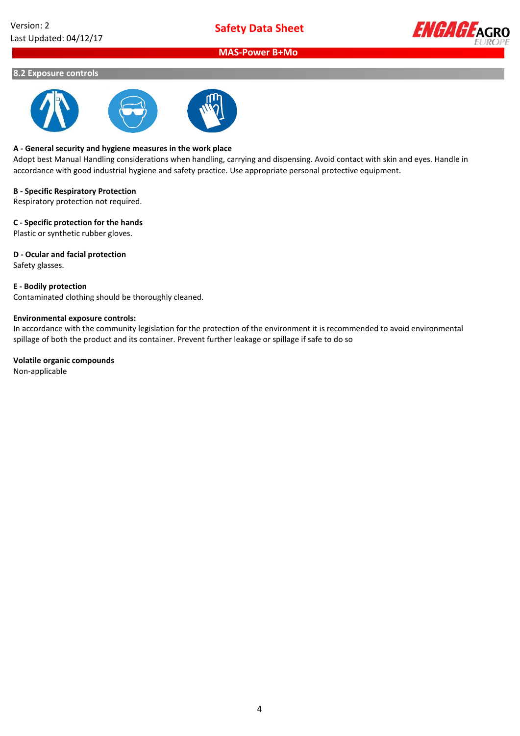

#### **8.2 Exposure controls**



#### **A - General security and hygiene measures in the work place**

Adopt best Manual Handling considerations when handling, carrying and dispensing. Avoid contact with skin and eyes. Handle in accordance with good industrial hygiene and safety practice. Use appropriate personal protective equipment.

#### **B - Specific Respiratory Protection**

Respiratory protection not required.

#### **C - Specific protection for the hands**

Plastic or synthetic rubber gloves.

#### **D - Ocular and facial protection**

Safety glasses.

#### **E - Bodily protection**

Contaminated clothing should be thoroughly cleaned.

#### **Environmental exposure controls:**

In accordance with the community legislation for the protection of the environment it is recommended to avoid environmental spillage of both the product and its container. Prevent further leakage or spillage if safe to do so

#### **Volatile organic compounds**

Non-applicable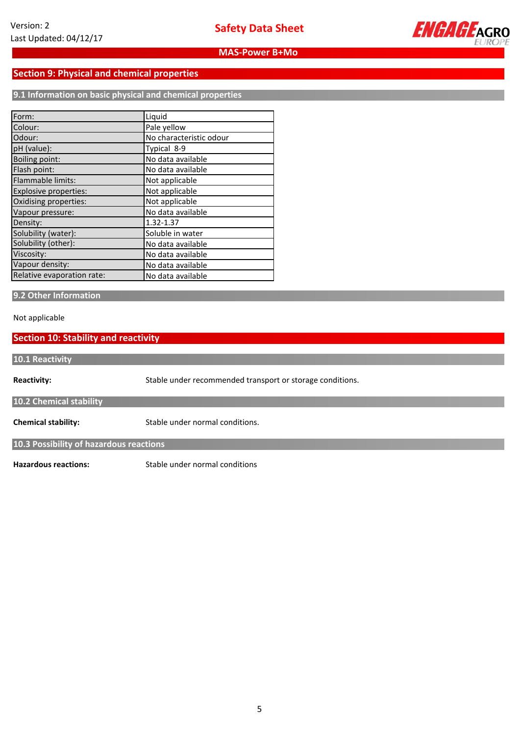

## **Section 9: Physical and chemical properties**

**9.1 Information on basic physical and chemical properties**

| Form:                        | Liquid                  |
|------------------------------|-------------------------|
| Colour:                      | Pale yellow             |
| Odour:                       | No characteristic odour |
| pH (value):                  | Typical 8-9             |
| <b>Boiling point:</b>        | No data available       |
| Flash point:                 | No data available       |
| Flammable limits:            | Not applicable          |
| <b>Explosive properties:</b> | Not applicable          |
| Oxidising properties:        | Not applicable          |
| Vapour pressure:             | No data available       |
| Density:                     | 1.32-1.37               |
| Solubility (water):          | Soluble in water        |
| Solubility (other):          | No data available       |
| Viscosity:                   | No data available       |
| Vapour density:              | No data available       |
| Relative evaporation rate:   | No data available       |

#### **9.2 Other Information**

Not applicable

## **Section 10: Stability and reactivity**

**Reactivity: Chemical stability: 10.2 Chemical stability 10.1 Reactivity** Stable under recommended transport or storage conditions. Stable under normal conditions.

**10.3 Possibility of hazardous reactions**

**Hazardous reactions:**

Stable under normal conditions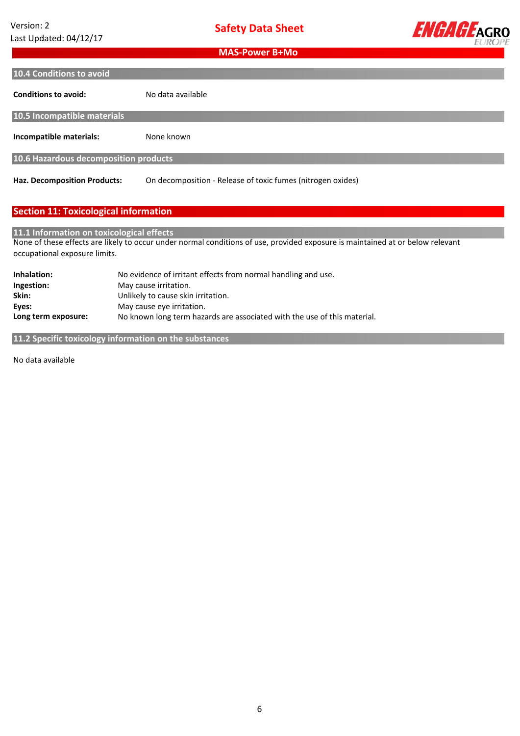

| 10.4 Conditions to avoid              |                                                             |  |
|---------------------------------------|-------------------------------------------------------------|--|
| <b>Conditions to avoid:</b>           | No data available                                           |  |
| 10.5 Incompatible materials           |                                                             |  |
| Incompatible materials:               | None known                                                  |  |
| 10.6 Hazardous decomposition products |                                                             |  |
| <b>Haz. Decomposition Products:</b>   | On decomposition - Release of toxic fumes (nitrogen oxides) |  |

## **Section 11: Toxicological information**

#### **11.1 Information on toxicological effects**

None of these effects are likely to occur under normal conditions of use, provided exposure is maintained at or below relevant occupational exposure limits.

| Inhalation:         | No evidence of irritant effects from normal handling and use.            |
|---------------------|--------------------------------------------------------------------------|
| Ingestion:          | May cause irritation.                                                    |
| Skin:               | Unlikely to cause skin irritation.                                       |
| Eves:               | May cause eye irritation.                                                |
| Long term exposure: | No known long term hazards are associated with the use of this material. |

**11.2 Specific toxicology information on the substances**

No data available **available**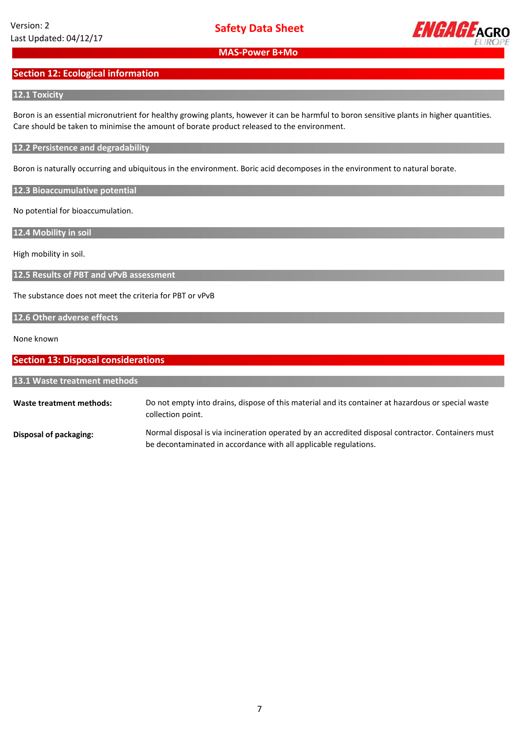

## **Section 12: Ecological information**

#### **12.1 Toxicity**

Boron is an essential micronutrient for healthy growing plants, however it can be harmful to boron sensitive plants in higher quantities. Care should be taken to minimise the amount of borate product released to the environment.

#### **12.2 Persistence and degradability**

Boron is naturally occurring and ubiquitous in the environment. Boric acid decomposes in the environment to natural borate.

**12.3 Bioaccumulative potential**

No potential for bioaccumulation.

**12.4 Mobility in soil**

High mobility in soil.

**12.5 Results of PBT and vPvB assessment**

The substance does not meet the criteria for PBT or vPvB

#### **12.6 Other adverse effects**

None known

| <b>Section 13: Disposal considerations</b> |                                                                                                                                                                        |
|--------------------------------------------|------------------------------------------------------------------------------------------------------------------------------------------------------------------------|
| 13.1 Waste treatment methods               |                                                                                                                                                                        |
| Waste treatment methods:                   | Do not empty into drains, dispose of this material and its container at hazardous or special waste<br>collection point.                                                |
| Disposal of packaging:                     | Normal disposal is via incineration operated by an accredited disposal contractor. Containers must<br>be decontaminated in accordance with all applicable regulations. |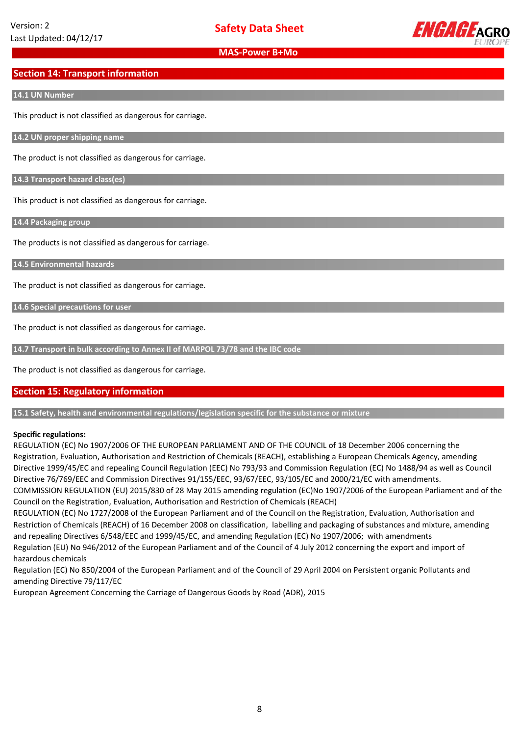

## **Section 14: Transport information**

#### **14.1 UN Number**

This product is not classified as dangerous for carriage.

**14.2 UN proper shipping name**

The product is not classified as dangerous for carriage.

**14.3 Transport hazard class(es)**

This product is not classified as dangerous for carriage.

**14.4 Packaging group**

The products is not classified as dangerous for carriage.

**14.5 Environmental hazards**

The product is not classified as dangerous for carriage.

**14.6 Special precautions for user**

The product is not classified as dangerous for carriage.

**14.7 Transport in bulk according to Annex II of MARPOL 73/78 and the IBC code**

The product is not classified as dangerous for carriage.

## **Section 15: Regulatory information**

**15.1 Safety, health and environmental regulations/legislation specific for the substance or mixture**

#### **Specific regulations:**

REGULATION (EC) No 1907/2006 OF THE EUROPEAN PARLIAMENT AND OF THE COUNCIL of 18 December 2006 concerning the Registration, Evaluation, Authorisation and Restriction of Chemicals (REACH), establishing a European Chemicals Agency, amending Directive 1999/45/EC and repealing Council Regulation (EEC) No 793/93 and Commission Regulation (EC) No 1488/94 as well as Council Directive 76/769/EEC and Commission Directives 91/155/EEC, 93/67/EEC, 93/105/EC and 2000/21/EC with amendments.

COMMISSION REGULATION (EU) 2015/830 of 28 May 2015 amending regulation (EC)No 1907/2006 of the European Parliament and of the Council on the Registration, Evaluation, Authorisation and Restriction of Chemicals (REACH)

REGULATION (EC) No 1727/2008 of the European Parliament and of the Council on the Registration, Evaluation, Authorisation and Restriction of Chemicals (REACH) of 16 December 2008 on classification, labelling and packaging of substances and mixture, amending and repealing Directives 6/548/EEC and 1999/45/EC, and amending Regulation (EC) No 1907/2006; with amendments Regulation (EU) No 946/2012 of the European Parliament and of the Council of 4 July 2012 concerning the export and import of hazardous chemicals

Regulation (EC) No 850/2004 of the European Parliament and of the Council of 29 April 2004 on Persistent organic Pollutants and amending Directive 79/117/EC

European Agreement Concerning the Carriage of Dangerous Goods by Road (ADR), 2015